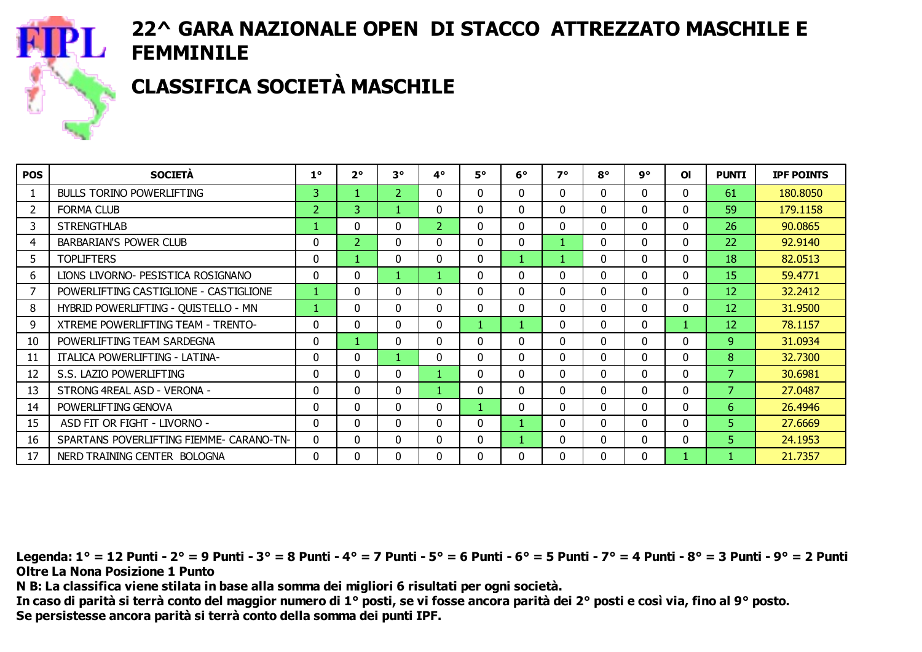

# CLASSIFICA SOCIETÀ MASCHILE

| <b>POS</b> | <b>SOCIETÀ</b>                           | $1^{\circ}$    | $2^{\circ}$    | $3^{\circ}$    | 4°             | <b>5°</b> | $6^{\circ}$ | 7°           | $8^{\circ}$ | 9°       | <b>OI</b>    | <b>PUNTI</b> | <b>IPF POINTS</b> |
|------------|------------------------------------------|----------------|----------------|----------------|----------------|-----------|-------------|--------------|-------------|----------|--------------|--------------|-------------------|
|            | <b>BULLS TORINO POWERLIFTING</b>         | 3              |                | $\overline{2}$ | 0              | $\Omega$  | 0           | 0            | 0           | 0        | $\mathbf{0}$ | 61           | 180.8050          |
| 2          | <b>FORMA CLUB</b>                        | $\overline{2}$ | 3              |                | 0              | $\Omega$  | 0           | <sup>n</sup> | 0           | 0        | $\Omega$     | 59           | 179.1158          |
| 3          | <b>STRENGTHLAB</b>                       |                | $\Omega$       | 0              | 2 <sup>1</sup> | $\Omega$  | 0           | $\Omega$     | 0           | 0        | $\Omega$     | 26           | 90.0865           |
| 4          | <b>BARBARIAN'S POWER CLUB</b>            | $\Omega$       | $\overline{2}$ | $\Omega$       | 0              | $\Omega$  | $\Omega$    |              | $\Omega$    | 0        | $\Omega$     | 22           | 92.9140           |
| 5          | <b>TOPLIFTERS</b>                        | $\Omega$       |                | $\Omega$       | 0              | $\Omega$  |             |              | 0           | $\Omega$ | $\Omega$     | 18           | 82.0513           |
| 6          | LIONS LIVORNO- PESISTICA ROSIGNANO       | $\Omega$       | $\Omega$       |                |                | $\Omega$  | $\Omega$    | 0            | 0           | $\Omega$ | $\Omega$     | 15           | 59.4771           |
|            | POWERLIFTING CASTIGLIONE - CASTIGLIONE   |                | $\Omega$       | 0              | 0              | $\Omega$  | $\Omega$    | 0            | 0           | $\Omega$ | $\mathbf 0$  | 12           | 32.2412           |
| 8          | HYBRID POWERLIFTING - QUISTELLO - MN     |                | $\Omega$       | 0              | 0              | $\Omega$  | 0           | 0            | 0           | $\Omega$ | $\mathbf{0}$ | 12           | 31.9500           |
| 9          | XTREME POWERLIFTING TEAM - TRENTO-       | 0              | $\Omega$       | $\Omega$       | 0              |           |             | 0            | 0           | $\Omega$ |              | 12           | 78.1157           |
| 10         | POWERLIFTING TEAM SARDEGNA               | 0              |                | 0              | 0              | $\Omega$  | 0           | <sup>0</sup> | 0           | $\Omega$ | $\Omega$     | 9            | 31.0934           |
| 11         | <b>ITALICA POWERLIFTING - LATINA-</b>    | 0              | $\Omega$       |                | 0              | $\Omega$  | 0           | 0            | 0           | 0        | $\Omega$     | 8            | 32.7300           |
| 12         | S.S. LAZIO POWERLIFTING                  | 0              | $\Omega$       | $\Omega$       |                | $\Omega$  | 0           | $\Omega$     | $\Omega$    | $\Omega$ | $\Omega$     | 7            | 30.6981           |
| 13         | STRONG 4REAL ASD - VERONA -              | 0              | $\Omega$       | $\Omega$       |                | $\Omega$  | 0           | 0            | 0           | $\Omega$ | $\Omega$     | 7            | 27.0487           |
| 14         | POWERLIFTING GENOVA                      | 0              | 0              | 0              | 0              |           | 0           | 0            | 0           | $\Omega$ | $\mathbf{0}$ | 6            | 26,4946           |
| 15         | ASD FIT OR FIGHT - LIVORNO -             | 0              | $\Omega$       | 0              | 0              | $\Omega$  |             | 0            | 0           | $\Omega$ | $\mathbf{0}$ | 5.           | 27,6669           |
| 16         | SPARTANS POVERLIFTING FIEMME- CARANO-TN- | 0              | $\Omega$       | 0              | 0              | $\Omega$  |             | 0            | 0           | $\Omega$ | $\mathbf{0}$ | 5.           | 24.1953           |
| 17         | NERD TRAINING CENTER BOLOGNA             | 0              | 0              | $\Omega$       | 0              | 0         | 0           | <sup>0</sup> | 0           | 0        |              |              | 21.7357           |

Legenda: 1° = 12 Punti - 2° = 9 Punti - 3° = 8 Punti - 4° = 7 Punti - 5° = 6 Punti - 6° = 5 Punti - 7° = 4 Punti - 8° = 3 Punti - 9° = 2 Punti Oltre La Nona Posizione 1 Punto

N B: La classifica viene stilata in base alla somma dei migliori 6 risultati per ogni società.

In caso di parità si terrà conto del maggior numero di 1° posti, se vi fosse ancora parità dei 2° posti e così via, fino al 9° posto. Se persistesse ancora parità si terrà conto della somma dei punti IPF.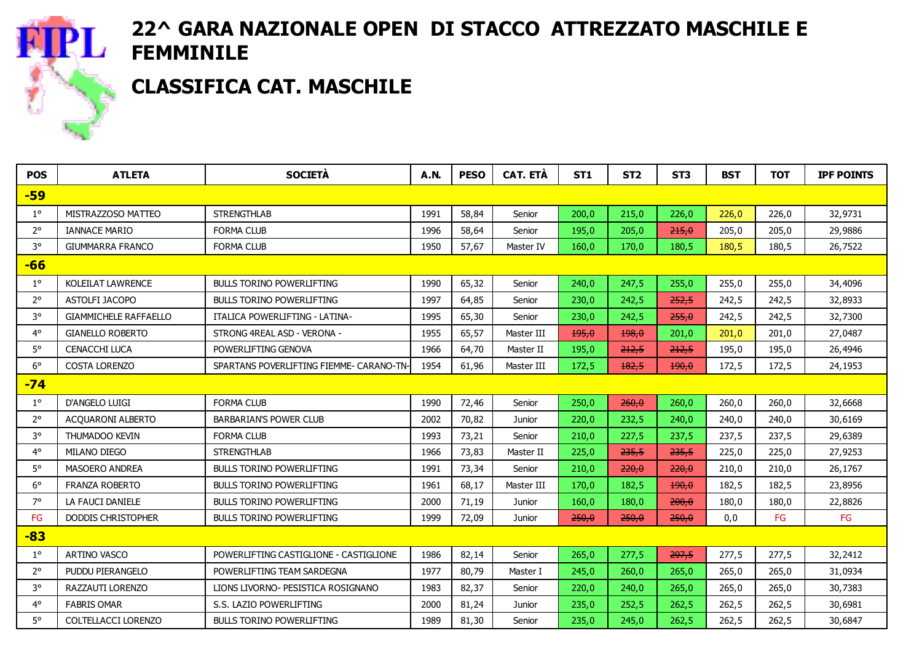

## CLASSIFICA CAT. MASCHILE

| <b>POS</b>  | <b>ATLETA</b>                | <b>SOCIETÀ</b>                           | <b>A.N.</b> | <b>PESO</b> | <b>CAT. ETÀ</b> | ST <sub>1</sub> | ST <sub>2</sub> | ST <sub>3</sub> | <b>BST</b> | <b>TOT</b> | <b>IPF POINTS</b> |
|-------------|------------------------------|------------------------------------------|-------------|-------------|-----------------|-----------------|-----------------|-----------------|------------|------------|-------------------|
| -59         |                              |                                          |             |             |                 |                 |                 |                 |            |            |                   |
| $1^{\circ}$ | MISTRAZZOSO MATTEO           | <b>STRENGTHLAB</b>                       | 1991        | 58,84       | Senior          | 200,0           | 215,0           | 226,0           | 226,0      | 226,0      | 32,9731           |
| $2^{\circ}$ | <b>IANNACE MARIO</b>         | <b>FORMA CLUB</b>                        | 1996        | 58,64       | Senior          | 195,0           | 205,0           | 215,0           | 205,0      | 205,0      | 29,9886           |
| $3^{\circ}$ | <b>GIUMMARRA FRANCO</b>      | <b>FORMA CLUB</b>                        | 1950        | 57,67       | Master IV       | 160,0           | 170,0           | 180,5           | 180,5      | 180,5      | 26,7522           |
| $-66$       |                              |                                          |             |             |                 |                 |                 |                 |            |            |                   |
| $1^{\circ}$ | <b>KOLEILAT LAWRENCE</b>     | <b>BULLS TORINO POWERLIFTING</b>         | 1990        | 65,32       | Senior          | 240,0           | 247,5           | 255,0           | 255.0      | 255,0      | 34,4096           |
| $2^{\circ}$ | ASTOLFI JACOPO               | <b>BULLS TORINO POWERLIFTING</b>         | 1997        | 64,85       | Senior          | 230,0           | 242,5           | 252,5           | 242,5      | 242,5      | 32,8933           |
| $3^{\circ}$ | <b>GIAMMICHELE RAFFAELLO</b> | ITALICA POWERLIFTING - LATINA-           | 1995        | 65,30       | Senior          | 230,0           | 242,5           | 255,0           | 242,5      | 242,5      | 32,7300           |
| $4^\circ$   | <b>GIANELLO ROBERTO</b>      | STRONG 4REAL ASD - VERONA -              | 1955        | 65,57       | Master III      | 195,0           | 198,0           | 201,0           | 201,0      | 201,0      | 27,0487           |
| $5^\circ$   | <b>CENACCHI LUCA</b>         | POWERLIFTING GENOVA                      | 1966        | 64,70       | Master II       | 195,0           | 212,5           | 212,5           | 195,0      | 195,0      | 26,4946           |
| $6^{\circ}$ | <b>COSTA LORENZO</b>         | SPARTANS POVERLIFTING FIEMME- CARANO-TN- | 1954        | 61,96       | Master III      | 172,5           | 182.5           | 190.0           | 172,5      | 172,5      | 24,1953           |
| $-74$       |                              |                                          |             |             |                 |                 |                 |                 |            |            |                   |
| $1^{\circ}$ | D'ANGELO LUIGI               | <b>FORMA CLUB</b>                        | 1990        | 72,46       | Senior          | 250,0           | 260,0           | 260,0           | 260,0      | 260,0      | 32,6668           |
| $2^{\circ}$ | ACQUARONI ALBERTO            | <b>BARBARIAN'S POWER CLUB</b>            | 2002        | 70,82       | Junior          | 220,0           | 232,5           | 240,0           | 240,0      | 240,0      | 30,6169           |
| $3^{\circ}$ | <b>THUMADOO KEVIN</b>        | <b>FORMA CLUB</b>                        | 1993        | 73,21       | Senior          | 210,0           | 227,5           | 237,5           | 237,5      | 237,5      | 29,6389           |
| $4^\circ$   | MILANO DIEGO                 | <b>STRENGTHLAB</b>                       | 1966        | 73,83       | Master II       | 225,0           | 235,5           | 235,5           | 225,0      | 225,0      | 27,9253           |
| $5^{\circ}$ | <b>MASOERO ANDREA</b>        | <b>BULLS TORINO POWERLIFTING</b>         | 1991        | 73,34       | Senior          | 210,0           | 220,0           | 220,0           | 210,0      | 210,0      | 26,1767           |
| $6^{\circ}$ | <b>FRANZA ROBERTO</b>        | <b>BULLS TORINO POWERLIFTING</b>         | 1961        | 68,17       | Master III      | 170,0           | 182,5           | 190,0           | 182,5      | 182,5      | 23,8956           |
| 7°          | LA FAUCI DANIELE             | <b>BULLS TORINO POWERLIFTING</b>         | 2000        | 71,19       | Junior          | 160,0           | 180,0           | 200,0           | 180,0      | 180,0      | 22,8826           |
| FG          | <b>DODDIS CHRISTOPHER</b>    | <b>BULLS TORINO POWERLIFTING</b>         | 1999        | 72,09       | Junior          | 250,0           | 250,0           | 250.0           | 0,0        | FG         | FG                |
| $-83$       |                              |                                          |             |             |                 |                 |                 |                 |            |            |                   |
| $1^{\circ}$ | ARTINO VASCO                 | POWERLIFTING CASTIGLIONE - CASTIGLIONE   | 1986        | 82,14       | Senior          | 265,0           | 277,5           | 297,5           | 277,5      | 277,5      | 32,2412           |
| $2^{\circ}$ | PUDDU PIERANGELO             | POWERLIFTING TEAM SARDEGNA               | 1977        | 80,79       | Master I        | 245,0           | 260,0           | 265,0           | 265,0      | 265,0      | 31,0934           |
| $3^{\circ}$ | RAZZAUTI LORENZO             | LIONS LIVORNO- PESISTICA ROSIGNANO       | 1983        | 82,37       | Senior          | 220,0           | 240,0           | 265,0           | 265,0      | 265,0      | 30,7383           |
| $4^{\circ}$ | <b>FABRIS OMAR</b>           | S.S. LAZIO POWERLIFTING                  | 2000        | 81,24       | Junior          | 235,0           | 252,5           | 262,5           | 262,5      | 262,5      | 30,6981           |
| $5^\circ$   | COLTELLACCI LORENZO          | <b>BULLS TORINO POWERLIFTING</b>         | 1989        | 81,30       | Senior          | 235,0           | 245,0           | 262,5           | 262,5      | 262,5      | 30,6847           |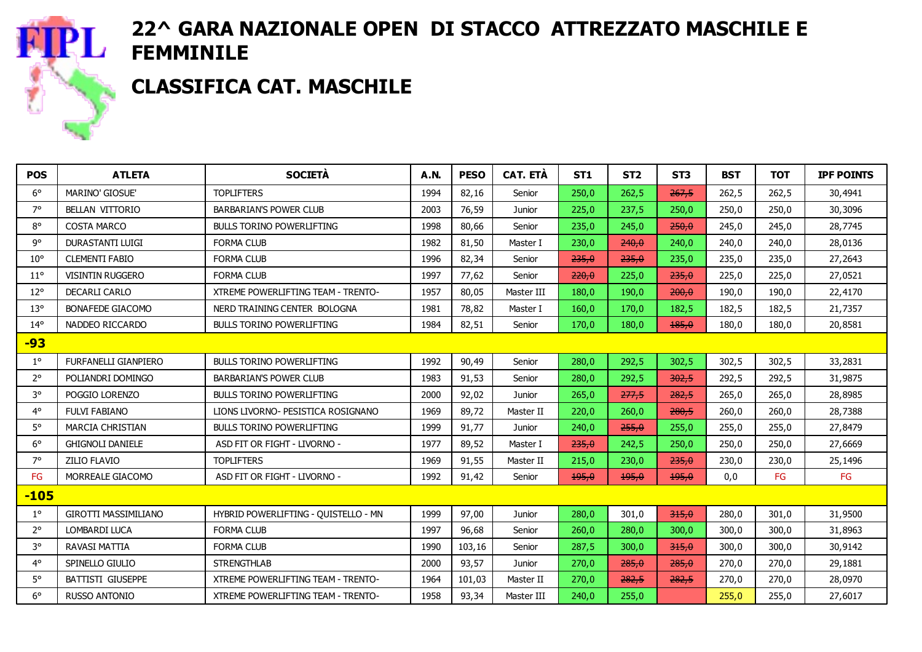#### CLASSIFICA CAT. MASCHILE

**PL** 

| <b>POS</b>   | <b>ATLETA</b>               | <b>SOCIETÀ</b>                            | <b>A.N.</b> | <b>PESO</b> | <b>CAT. ETÀ</b> | <b>ST1</b> | ST <sub>2</sub> | ST <sub>3</sub> | <b>BST</b> | <b>TOT</b> | <b>IPF POINTS</b> |
|--------------|-----------------------------|-------------------------------------------|-------------|-------------|-----------------|------------|-----------------|-----------------|------------|------------|-------------------|
| $6^{\circ}$  | <b>MARINO' GIOSUE'</b>      | <b>TOPLIFTERS</b>                         | 1994        | 82,16       | Senior          | 250,0      | 262,5           | 267,5           | 262,5      | 262,5      | 30,4941           |
| $7^\circ$    | <b>BELLAN VITTORIO</b>      | <b>BARBARIAN'S POWER CLUB</b>             | 2003        | 76,59       | Junior          | 225,0      | 237,5           | 250,0           | 250,0      | 250,0      | 30,3096           |
| $8^{\circ}$  | <b>COSTA MARCO</b>          | <b>BULLS TORINO POWERLIFTING</b>          | 1998        | 80,66       | Senior          | 235,0      | 245,0           | 250,0           | 245,0      | 245,0      | 28,7745           |
| go           | <b>DURASTANTI LUIGI</b>     | <b>FORMA CLUB</b>                         | 1982        | 81,50       | Master I        | 230,0      | 240,0           | 240,0           | 240,0      | 240,0      | 28,0136           |
| $10^{\circ}$ | <b>CLEMENTI FABIO</b>       | <b>FORMA CLUB</b>                         | 1996        | 82,34       | Senior          | 235,0      | 235,0           | 235,0           | 235,0      | 235,0      | 27,2643           |
| $11^{\circ}$ | <b>VISINTIN RUGGERO</b>     | <b>FORMA CLUB</b>                         | 1997        | 77,62       | Senior          | 220,0      | 225,0           | 235,0           | 225,0      | 225,0      | 27,0521           |
| $12^{\circ}$ | <b>DECARLI CARLO</b>        | XTREME POWERLIFTING TEAM - TRENTO-        | 1957        | 80,05       | Master III      | 180,0      | 190,0           | 200.0           | 190,0      | 190,0      | 22,4170           |
| $13^{\circ}$ | <b>BONAFEDE GIACOMO</b>     | NERD TRAINING CENTER BOLOGNA              | 1981        | 78,82       | Master I        | 160,0      | 170,0           | 182,5           | 182,5      | 182,5      | 21,7357           |
| $14^{\circ}$ | NADDEO RICCARDO             | <b>BULLS TORINO POWERLIFTING</b>          | 1984        | 82,51       | Senior          | 170,0      | 180,0           | 185,0           | 180,0      | 180.0      | 20,8581           |
| -93          |                             |                                           |             |             |                 |            |                 |                 |            |            |                   |
| $1^{\circ}$  | FURFANELLI GIANPIERO        | <b>BULLS TORINO POWERLIFTING</b>          | 1992        | 90,49       | Senior          | 280,0      | 292,5           | 302,5           | 302,5      | 302,5      | 33,2831           |
| $2^{\circ}$  | POLIANDRI DOMINGO           | <b>BARBARIAN'S POWER CLUB</b>             | 1983        | 91,53       | Senior          | 280,0      | 292,5           | 302,5           | 292,5      | 292,5      | 31,9875           |
| $3^{\circ}$  | POGGIO LORENZO              | <b>BULLS TORINO POWERLIFTING</b>          | 2000        | 92,02       | Junior          | 265,0      | 277,5           | 282,5           | 265,0      | 265,0      | 28,8985           |
| $4^\circ$    | <b>FULVI FABIANO</b>        | LIONS LIVORNO- PESISTICA ROSIGNANO        | 1969        | 89,72       | Master II       | 220,0      | 260,0           | 280,5           | 260,0      | 260,0      | 28,7388           |
| $5^\circ$    | <b>MARCIA CHRISTIAN</b>     | <b>BULLS TORINO POWERLIFTING</b>          | 1999        | 91,77       | Junior          | 240,0      | 255,0           | 255,0           | 255,0      | 255,0      | 27,8479           |
| $6^{\circ}$  | <b>GHIGNOLI DANIELE</b>     | ASD FIT OR FIGHT - LIVORNO -              | 1977        | 89,52       | Master I        | 235,0      | 242,5           | 250,0           | 250,0      | 250,0      | 27,6669           |
| $7^\circ$    | <b>ZILIO FLAVIO</b>         | <b>TOPLIFTERS</b>                         | 1969        | 91,55       | Master II       | 215,0      | 230,0           | 235,0           | 230,0      | 230,0      | 25,1496           |
| FG           | MORREALE GIACOMO            | ASD FIT OR FIGHT - LIVORNO -              | 1992        | 91,42       | Senior          | 195,0      | 195,0           | 195,0           | 0,0        | FG         | FG                |
| $-105$       |                             |                                           |             |             |                 |            |                 |                 |            |            |                   |
| $1^{\circ}$  | <b>GIROTTI MASSIMILIANO</b> | HYBRID POWERLIFTING - QUISTELLO - MN      | 1999        | 97,00       | Junior          | 280,0      | 301,0           | 315,0           | 280,0      | 301,0      | 31,9500           |
| $2^{\circ}$  | LOMBARDI LUCA               | <b>FORMA CLUB</b>                         | 1997        | 96,68       | Senior          | 260,0      | 280,0           | 300,0           | 300,0      | 300,0      | 31,8963           |
| $3^{\circ}$  | RAVASI MATTIA               | <b>FORMA CLUB</b>                         | 1990        | 103,16      | Senior          | 287,5      | 300,0           | 315,0           | 300,0      | 300,0      | 30,9142           |
| $4^\circ$    | SPINELLO GIULIO             | <b>STRENGTHLAB</b>                        | 2000        | 93,57       | Junior          | 270,0      | 285,0           | 285,0           | 270.0      | 270,0      | 29,1881           |
| $5^\circ$    | <b>BATTISTI GIUSEPPE</b>    | <b>XTREME POWERLIFTING TEAM - TRENTO-</b> | 1964        | 101,03      | Master II       | 270,0      | 282,5           | 282.5           | 270,0      | 270,0      | 28,0970           |
| $6^{\circ}$  | <b>RUSSO ANTONIO</b>        | <b>XTREME POWERLIFTING TEAM - TRENTO-</b> | 1958        | 93,34       | Master III      | 240,0      | 255,0           |                 | 255,0      | 255,0      | 27,6017           |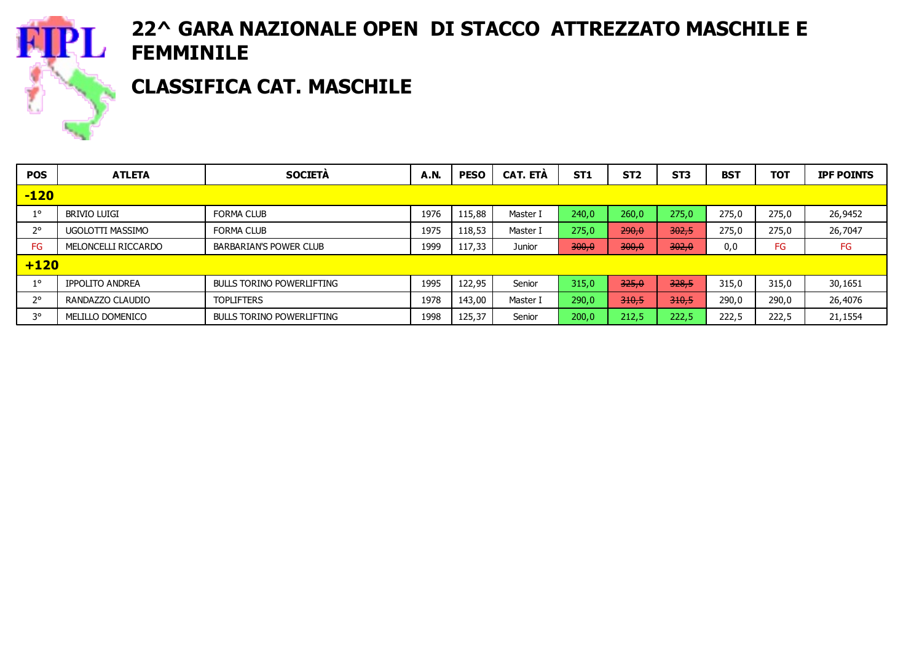

### CLASSIFICA CAT. MASCHILE

| <b>POS</b>  | <b>ATLETA</b>          | <b>SOCIETA</b>                   | <b>A.N.</b> | <b>PESO</b> | CAT. ETA | <b>ST1</b> | ST <sub>2</sub> | ST <sub>3</sub> | <b>BST</b> | <b>TOT</b> | <b>IPF POINTS</b> |
|-------------|------------------------|----------------------------------|-------------|-------------|----------|------------|-----------------|-----------------|------------|------------|-------------------|
| $-120$      |                        |                                  |             |             |          |            |                 |                 |            |            |                   |
| $1^{\circ}$ | brivio luigi           | <b>FORMA CLUB</b>                | 1976        | 115,88      | Master I | 240,0      | 260,0           | 275,0           | 275,0      | 275,0      | 26,9452           |
| $2^{\circ}$ | UGOLOTTI MASSIMO       | <b>FORMA CLUB</b>                | 1975        | 118,53      | Master I | 275,0      | 290,0           | 302,5           | 275,0      | 275,0      | 26,7047           |
| FG          | MELONCELLI RICCARDO    | <b>BARBARIAN'S POWER CLUB</b>    | 1999        | 117,33      | Junior   | 300,0      | 300,0           | 302,0           | 0,0        | FG         | FG                |
| $+120$      |                        |                                  |             |             |          |            |                 |                 |            |            |                   |
| $1^{\circ}$ | <b>IPPOLITO ANDREA</b> | <b>BULLS TORINO POWERLIFTING</b> | 1995        | 122,95      | Senior   | 315,0      | 325.0           | 328.5           | 315,0      | 315,0      | 30,1651           |
| $2^{\circ}$ | RANDAZZO CLAUDIO       | <b>TOPLIFTERS</b>                | 1978        | 143,00      | Master I | 290,0      | 310,5           | 310,5           | 290,0      | 290,0      | 26,4076           |
| 3°          | MELILLO DOMENICO       | BULLS TORINO POWERLIFTING        | 1998        | 125,37      | Senior   | 200,0      | 212,5           | 222,5           | 222,5      | 222,5      | 21,1554           |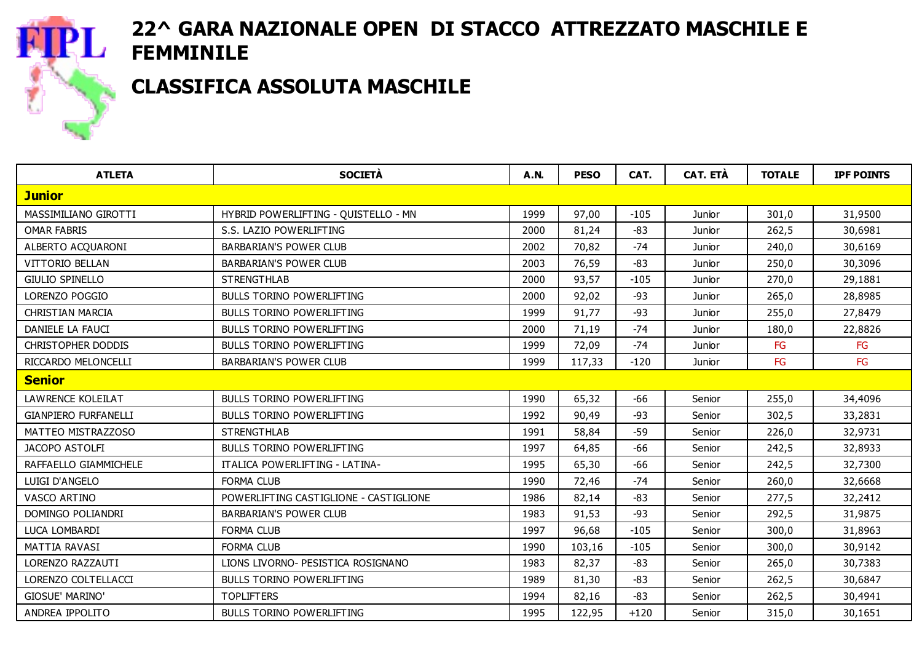

#### CLASSIFICA ASSOLUTA MASCHILE

| <b>ATLETA</b>               | <b>SOCIETÀ</b>                         | <b>A.N.</b> | <b>PESO</b> | CAT.   | <b>CAT. ETÀ</b> | <b>TOTALE</b> | <b>IPF POINTS</b> |
|-----------------------------|----------------------------------------|-------------|-------------|--------|-----------------|---------------|-------------------|
| <b>Junior</b>               |                                        |             |             |        |                 |               |                   |
| MASSIMILIANO GIROTTI        | HYBRID POWERLIFTING - QUISTELLO - MN   | 1999        | 97,00       | $-105$ | Junior          | 301,0         | 31,9500           |
| <b>OMAR FABRIS</b>          | S.S. LAZIO POWERLIFTING                | 2000        | 81,24       | $-83$  | Junior          | 262,5         | 30,6981           |
| ALBERTO ACQUARONI           | <b>BARBARIAN'S POWER CLUB</b>          | 2002        | 70,82       | $-74$  | Junior          | 240,0         | 30,6169           |
| <b>VITTORIO BELLAN</b>      | <b>BARBARIAN'S POWER CLUB</b>          | 2003        | 76,59       | $-83$  | Junior          | 250,0         | 30,3096           |
| GIULIO SPINELLO             | <b>STRENGTHLAB</b>                     | 2000        | 93,57       | $-105$ | Junior          | 270,0         | 29,1881           |
| LORENZO POGGIO              | <b>BULLS TORINO POWERLIFTING</b>       | 2000        | 92,02       | $-93$  | Junior          | 265,0         | 28,8985           |
| <b>CHRISTIAN MARCIA</b>     | BULLS TORINO POWERLIFTING              | 1999        | 91,77       | $-93$  | Junior          | 255,0         | 27,8479           |
| DANIELE LA FAUCI            | <b>BULLS TORINO POWERLIFTING</b>       | 2000        | 71,19       | $-74$  | Junior          | 180,0         | 22,8826           |
| <b>CHRISTOPHER DODDIS</b>   | <b>BULLS TORINO POWERLIFTING</b>       | 1999        | 72,09       | $-74$  | Junior          | FG            | FG                |
| RICCARDO MELONCELLI         | <b>BARBARIAN'S POWER CLUB</b>          | 1999        | 117,33      | $-120$ | Junior          | FG            | FG                |
| <b>Senior</b>               |                                        |             |             |        |                 |               |                   |
| <b>LAWRENCE KOLEILAT</b>    | <b>BULLS TORINO POWERLIFTING</b>       | 1990        | 65,32       | -66    | Senior          | 255,0         | 34,4096           |
| <b>GIANPIERO FURFANELLI</b> | <b>BULLS TORINO POWERLIFTING</b>       | 1992        | 90,49       | $-93$  | Senior          | 302,5         | 33,2831           |
| MATTEO MISTRAZZOSO          | <b>STRENGTHLAB</b>                     | 1991        | 58,84       | $-59$  | Senior          | 226,0         | 32,9731           |
| JACOPO ASTOLFI              | <b>BULLS TORINO POWERLIFTING</b>       | 1997        | 64,85       | -66    | Senior          | 242,5         | 32,8933           |
| RAFFAELLO GIAMMICHELE       | <b>ITALICA POWERLIFTING - LATINA-</b>  | 1995        | 65,30       | $-66$  | Senior          | 242,5         | 32,7300           |
| LUIGI D'ANGELO              | <b>FORMA CLUB</b>                      | 1990        | 72,46       | $-74$  | Senior          | 260,0         | 32,6668           |
| VASCO ARTINO                | POWERLIFTING CASTIGLIONE - CASTIGLIONE | 1986        | 82,14       | -83    | Senior          | 277,5         | 32,2412           |
| DOMINGO POLIANDRI           | <b>BARBARIAN'S POWER CLUB</b>          | 1983        | 91,53       | $-93$  | Senior          | 292,5         | 31,9875           |
| LUCA LOMBARDI               | <b>FORMA CLUB</b>                      | 1997        | 96,68       | $-105$ | Senior          | 300,0         | 31,8963           |
| MATTIA RAVASI               | <b>FORMA CLUB</b>                      | 1990        | 103,16      | $-105$ | Senior          | 300,0         | 30,9142           |
| LORENZO RAZZAUTI            | LIONS LIVORNO- PESISTICA ROSIGNANO     | 1983        | 82,37       | -83    | Senior          | 265,0         | 30,7383           |
| LORENZO COLTELLACCI         | <b>BULLS TORINO POWERLIFTING</b>       | 1989        | 81,30       | $-83$  | Senior          | 262,5         | 30,6847           |
| <b>GIOSUE' MARINO'</b>      | <b>TOPLIFTERS</b>                      | 1994        | 82,16       | -83    | Senior          | 262,5         | 30,4941           |
| ANDREA IPPOLITO             | BULLS TORINO POWERLIFTING              | 1995        | 122,95      | $+120$ | Senior          | 315,0         | 30,1651           |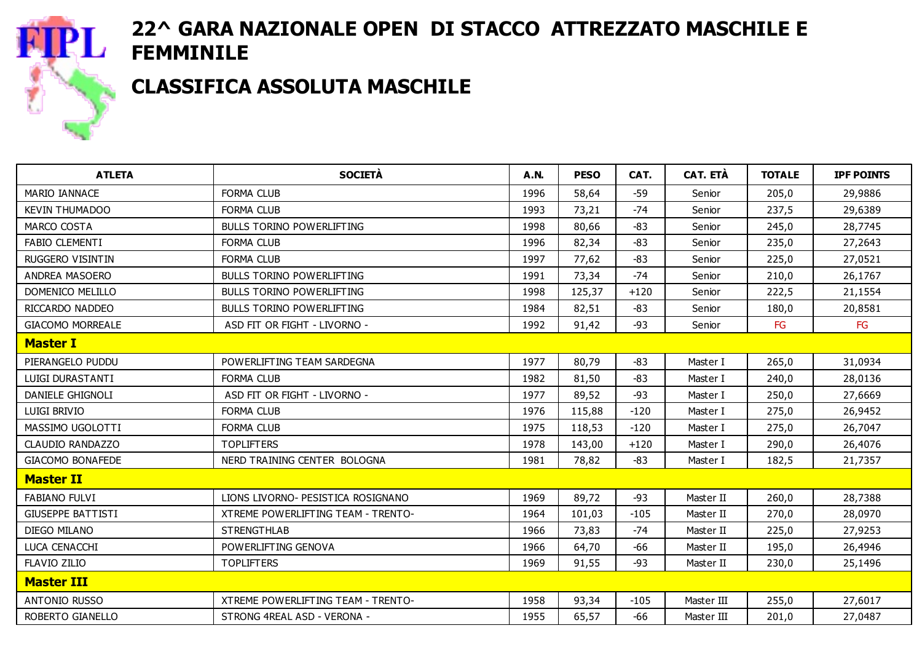

CLASSIFICA ASSOLUTA MASCHILE

| <b>ATLETA</b>            | <b>SOCIETÀ</b>                     | <b>A.N.</b> | <b>PESO</b> | CAT.   | <b>CAT. ETÀ</b> | <b>TOTALE</b> | <b>IPF POINTS</b> |
|--------------------------|------------------------------------|-------------|-------------|--------|-----------------|---------------|-------------------|
| <b>MARIO IANNACE</b>     | <b>FORMA CLUB</b>                  | 1996        | 58,64       | $-59$  | Senior          | 205,0         | 29,9886           |
| <b>KEVIN THUMADOO</b>    | FORMA CLUB                         | 1993        | 73,21       | $-74$  | Senior          | 237,5         | 29,6389           |
| <b>MARCO COSTA</b>       | <b>BULLS TORINO POWERLIFTING</b>   | 1998        | 80,66       | $-83$  | Senior          | 245,0         | 28,7745           |
| <b>FABIO CLEMENTI</b>    | <b>FORMA CLUB</b>                  | 1996        | 82,34       | $-83$  | Senior          | 235,0         | 27,2643           |
| <b>RUGGERO VISINTIN</b>  | <b>FORMA CLUB</b>                  | 1997        | 77,62       | -83    | Senior          | 225,0         | 27,0521           |
| ANDREA MASOERO           | <b>BULLS TORINO POWERLIFTING</b>   | 1991        | 73,34       | $-74$  | Senior          | 210,0         | 26,1767           |
| DOMENICO MELILLO         | <b>BULLS TORINO POWERLIFTING</b>   | 1998        | 125,37      | $+120$ | Senior          | 222,5         | 21,1554           |
| RICCARDO NADDEO          | <b>BULLS TORINO POWERLIFTING</b>   | 1984        | 82,51       | $-83$  | Senior          | 180,0         | 20,8581           |
| <b>GIACOMO MORREALE</b>  | ASD FIT OR FIGHT - LIVORNO -       | 1992        | 91,42       | $-93$  | Senior          | FG            | FG                |
| <b>Master I</b>          |                                    |             |             |        |                 |               |                   |
| PIERANGELO PUDDU         | POWERLIFTING TEAM SARDEGNA         | 1977        | 80,79       | $-83$  | Master I        | 265,0         | 31,0934           |
| LUIGI DURASTANTI         | <b>FORMA CLUB</b>                  | 1982        | 81,50       | $-83$  | Master I        | 240,0         | 28,0136           |
| DANIELE GHIGNOLI         | ASD FIT OR FIGHT - LIVORNO -       | 1977        | 89,52       | -93    | Master I        | 250,0         | 27,6669           |
| LUIGI BRIVIO             | <b>FORMA CLUB</b>                  | 1976        | 115,88      | $-120$ | Master I        | 275,0         | 26,9452           |
| MASSIMO UGOLOTTI         | <b>FORMA CLUB</b>                  | 1975        | 118,53      | $-120$ | Master I        | 275,0         | 26,7047           |
| CLAUDIO RANDAZZO         | <b>TOPLIFTERS</b>                  | 1978        | 143,00      | $+120$ | Master I        | 290,0         | 26,4076           |
| <b>GIACOMO BONAFEDE</b>  | NERD TRAINING CENTER BOLOGNA       | 1981        | 78,82       | $-83$  | Master I        | 182,5         | 21,7357           |
| <b>Master II</b>         |                                    |             |             |        |                 |               |                   |
| <b>FABIANO FULVI</b>     | LIONS LIVORNO- PESISTICA ROSIGNANO | 1969        | 89,72       | $-93$  | Master II       | 260,0         | 28,7388           |
| <b>GIUSEPPE BATTISTI</b> | XTREME POWERLIFTING TEAM - TRENTO- | 1964        | 101,03      | $-105$ | Master II       | 270,0         | 28,0970           |
| DIEGO MILANO             | <b>STRENGTHLAB</b>                 | 1966        | 73,83       | -74    | Master II       | 225,0         | 27,9253           |
| LUCA CENACCHI            | POWERLIFTING GENOVA                | 1966        | 64,70       | $-66$  | Master II       | 195,0         | 26,4946           |
| <b>FLAVIO ZILIO</b>      | <b>TOPLIFTERS</b>                  | 1969        | 91,55       | -93    | Master II       | 230,0         | 25,1496           |
| <b>Master III</b>        |                                    |             |             |        |                 |               |                   |
| <b>ANTONIO RUSSO</b>     | XTREME POWERLIFTING TEAM - TRENTO- | 1958        | 93,34       | $-105$ | Master III      | 255,0         | 27,6017           |
| ROBERTO GIANELLO         | STRONG 4REAL ASD - VERONA -        | 1955        | 65,57       | -66    | Master III      | 201,0         | 27,0487           |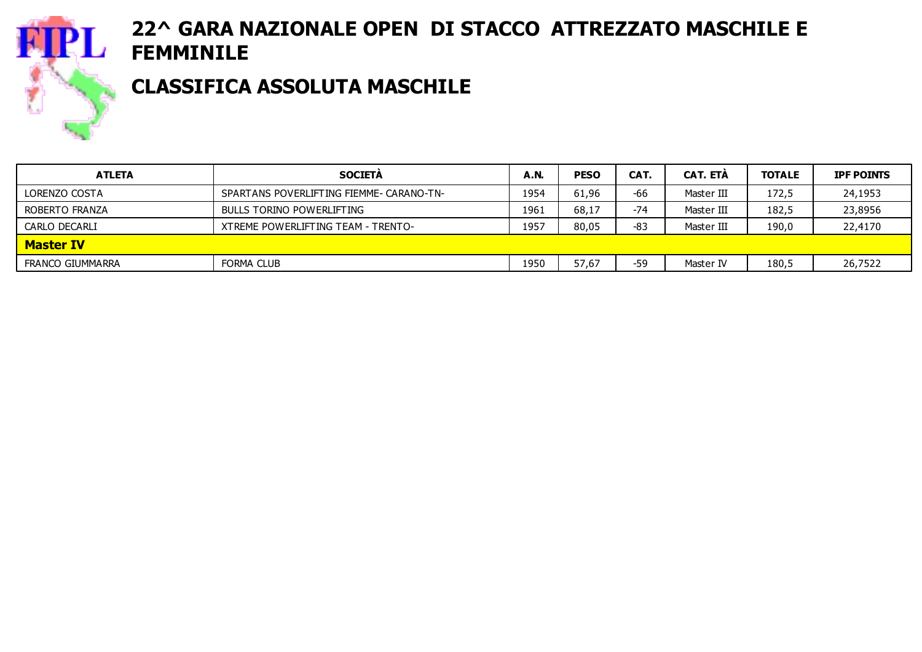

### CLASSIFICA ASSOLUTA MASCHILE

| <b>ATLETA</b>    | <b>SOCIETÀ</b>                           | A.N  | <b>PESO</b> | CAT.  | <b>CAT. ETA</b> | <b>TOTALE</b> | <b>IPF POINTS</b> |
|------------------|------------------------------------------|------|-------------|-------|-----------------|---------------|-------------------|
| LORENZO COSTA    | SPARTANS POVERLIFTING FIEMME- CARANO-TN- | 1954 | 61,96       | -66   | Master III      | 172,5         | 24,1953           |
| ROBERTO FRANZA   | BULLS TORINO POWERLIFTING                | 1961 | 68,17       | $-74$ | Master III      | 182,5         | 23,8956           |
| CARLO DECARLI    | XTREME POWERLIFTING TEAM - TRENTO-       | 1957 | 80,05       | $-83$ | Master III      | 190,0         | 22,4170           |
| <b>Master IV</b> |                                          |      |             |       |                 |               |                   |
| FRANCO GIUMMARRA | FORMA CLUB                               | 1950 | 57,67       | $-59$ | Master IV       | 180,5         | 26,7522           |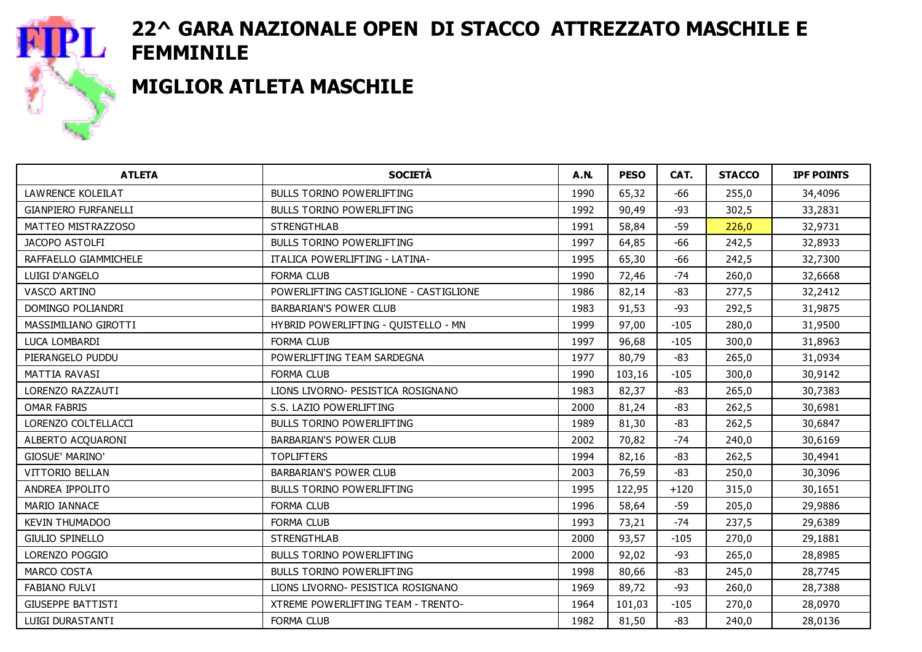

## MIGLIOR ATLETA MASCHILE

| <b>ATLETA</b>               | <b>SOCIETÀ</b>                         | <b>A.N.</b> | <b>PESO</b> | CAT.   | <b>STACCO</b> | <b>IPF POINTS</b> |
|-----------------------------|----------------------------------------|-------------|-------------|--------|---------------|-------------------|
| LAWRENCE KOLEILAT           | <b>BULLS TORINO POWERLIFTING</b>       | 1990        | 65,32       | $-66$  | 255,0         | 34,4096           |
| <b>GIANPIERO FURFANELLI</b> | <b>BULLS TORINO POWERLIFTING</b>       | 1992        | 90,49       | $-93$  | 302,5         | 33,2831           |
| MATTEO MISTRAZZOSO          | <b>STRENGTHLAB</b>                     | 1991        | 58,84       | $-59$  | 226,0         | 32,9731           |
| JACOPO ASTOLFI              | <b>BULLS TORINO POWERLIFTING</b>       | 1997        | 64,85       | -66    | 242,5         | 32,8933           |
| RAFFAELLO GIAMMICHELE       | <b>ITALICA POWERLIFTING - LATINA-</b>  | 1995        | 65,30       | $-66$  | 242,5         | 32,7300           |
| LUIGI D'ANGELO              | <b>FORMA CLUB</b>                      | 1990        | 72,46       | $-74$  | 260,0         | 32,6668           |
| VASCO ARTINO                | POWERLIFTING CASTIGLIONE - CASTIGLIONE | 1986        | 82,14       | $-83$  | 277,5         | 32,2412           |
| DOMINGO POLIANDRI           | <b>BARBARIAN'S POWER CLUB</b>          | 1983        | 91,53       | $-93$  | 292,5         | 31,9875           |
| MASSIMILIANO GIROTTI        | HYBRID POWERLIFTING - QUISTELLO - MN   | 1999        | 97,00       | $-105$ | 280,0         | 31,9500           |
| LUCA LOMBARDI               | <b>FORMA CLUB</b>                      | 1997        | 96,68       | $-105$ | 300,0         | 31,8963           |
| PIERANGELO PUDDU            | POWERLIFTING TEAM SARDEGNA             | 1977        | 80,79       | $-83$  | 265,0         | 31,0934           |
| MATTIA RAVASI               | <b>FORMA CLUB</b>                      | 1990        | 103,16      | $-105$ | 300,0         | 30,9142           |
| LORENZO RAZZAUTI            | LIONS LIVORNO- PESISTICA ROSIGNANO     | 1983        | 82,37       | $-83$  | 265,0         | 30,7383           |
| <b>OMAR FABRIS</b>          | S.S. LAZIO POWERLIFTING                | 2000        | 81,24       | $-83$  | 262,5         | 30,6981           |
| LORENZO COLTELLACCI         | BULLS TORINO POWERLIFTING              | 1989        | 81,30       | $-83$  | 262,5         | 30,6847           |
| ALBERTO ACQUARONI           | <b>BARBARIAN'S POWER CLUB</b>          | 2002        | 70,82       | $-74$  | 240,0         | 30,6169           |
| GIOSUE' MARINO'             | <b>TOPLIFTERS</b>                      | 1994        | 82,16       | $-83$  | 262,5         | 30,4941           |
| <b>VITTORIO BELLAN</b>      | BARBARIAN'S POWER CLUB                 | 2003        | 76,59       | $-83$  | 250,0         | 30,3096           |
| ANDREA IPPOLITO             | <b>BULLS TORINO POWERLIFTING</b>       | 1995        | 122,95      | $+120$ | 315,0         | 30,1651           |
| MARIO IANNACE               | <b>FORMA CLUB</b>                      | 1996        | 58,64       | $-59$  | 205,0         | 29,9886           |
| <b>KEVIN THUMADOO</b>       | <b>FORMA CLUB</b>                      | 1993        | 73,21       | $-74$  | 237,5         | 29,6389           |
| <b>GIULIO SPINELLO</b>      | <b>STRENGTHLAB</b>                     | 2000        | 93,57       | $-105$ | 270,0         | 29,1881           |
| LORENZO POGGIO              | <b>BULLS TORINO POWERLIFTING</b>       | 2000        | 92,02       | $-93$  | 265,0         | 28,8985           |
| MARCO COSTA                 | <b>BULLS TORINO POWERLIFTING</b>       | 1998        | 80,66       | $-83$  | 245,0         | 28,7745           |
| <b>FABIANO FULVI</b>        | LIONS LIVORNO- PESISTICA ROSIGNANO     | 1969        | 89,72       | $-93$  | 260,0         | 28,7388           |
| <b>GIUSEPPE BATTISTI</b>    | XTREME POWERLIFTING TEAM - TRENTO-     | 1964        | 101,03      | $-105$ | 270,0         | 28,0970           |
| LUIGI DURASTANTI            | <b>FORMA CLUB</b>                      | 1982        | 81,50       | $-83$  | 240,0         | 28,0136           |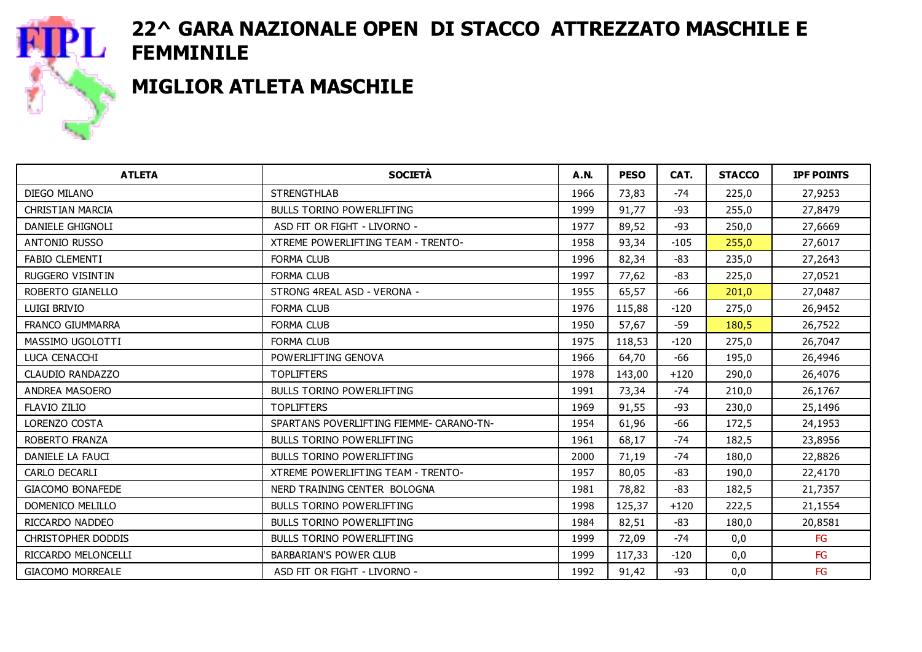

#### MIGLIOR ATLETA MASCHILE

| <b>ATLETA</b>             | <b>SOCIETÀ</b>                            | <b>A.N.</b> | <b>PESO</b> | CAT.   | <b>STACCO</b> | <b>IPF POINTS</b> |
|---------------------------|-------------------------------------------|-------------|-------------|--------|---------------|-------------------|
| DIEGO MILANO              | <b>STRENGTHLAB</b>                        | 1966        | 73,83       | $-74$  | 225,0         | 27,9253           |
| <b>CHRISTIAN MARCIA</b>   | <b>BULLS TORINO POWERLIFTING</b>          | 1999        | 91,77       | $-93$  | 255,0         | 27,8479           |
| DANIELE GHIGNOLI          | ASD FIT OR FIGHT - LIVORNO -              | 1977        | 89,52       | $-93$  | 250,0         | 27,6669           |
| <b>ANTONIO RUSSO</b>      | <b>XTREME POWERLIFTING TEAM - TRENTO-</b> | 1958        | 93,34       | $-105$ | 255,0         | 27,6017           |
| <b>FABIO CLEMENTI</b>     | <b>FORMA CLUB</b>                         | 1996        | 82,34       | -83    | 235,0         | 27,2643           |
| RUGGERO VISINTIN          | <b>FORMA CLUB</b>                         | 1997        | 77,62       | $-83$  | 225,0         | 27,0521           |
| ROBERTO GIANELLO          | STRONG 4REAL ASD - VERONA -               | 1955        | 65,57       | $-66$  | 201,0         | 27,0487           |
| LUIGI BRIVIO              | <b>FORMA CLUB</b>                         | 1976        | 115,88      | $-120$ | 275,0         | 26,9452           |
| <b>FRANCO GIUMMARRA</b>   | <b>FORMA CLUB</b>                         | 1950        | 57,67       | $-59$  | 180,5         | 26,7522           |
| MASSIMO UGOLOTTI          | <b>FORMA CLUB</b>                         | 1975        | 118,53      | $-120$ | 275,0         | 26,7047           |
| LUCA CENACCHI             | POWERLIFTING GENOVA                       | 1966        | 64,70       | -66    | 195,0         | 26,4946           |
| CLAUDIO RANDAZZO          | <b>TOPLIFTERS</b>                         | 1978        | 143,00      | $+120$ | 290,0         | 26,4076           |
| ANDREA MASOERO            | <b>BULLS TORINO POWERLIFTING</b>          | 1991        | 73,34       | $-74$  | 210,0         | 26,1767           |
| <b>FLAVIO ZILIO</b>       | <b>TOPLIFTERS</b>                         | 1969        | 91,55       | $-93$  | 230,0         | 25,1496           |
| LORENZO COSTA             | SPARTANS POVERLIFTING FIEMME- CARANO-TN-  | 1954        | 61,96       | -66    | 172,5         | 24,1953           |
| ROBERTO FRANZA            | <b>BULLS TORINO POWERLIFTING</b>          | 1961        | 68,17       | $-74$  | 182,5         | 23,8956           |
| DANIELE LA FAUCI          | <b>BULLS TORINO POWERLIFTING</b>          | 2000        | 71,19       | $-74$  | 180,0         | 22,8826           |
| <b>CARLO DECARLI</b>      | XTREME POWERLIFTING TEAM - TRENTO-        | 1957        | 80,05       | -83    | 190,0         | 22,4170           |
| <b>GIACOMO BONAFEDE</b>   | NERD TRAINING CENTER BOLOGNA              | 1981        | 78,82       | $-83$  | 182,5         | 21,7357           |
| DOMENICO MELILLO          | <b>BULLS TORINO POWERLIFTING</b>          | 1998        | 125,37      | $+120$ | 222,5         | 21,1554           |
| RICCARDO NADDEO           | <b>BULLS TORINO POWERLIFTING</b>          | 1984        | 82,51       | $-83$  | 180,0         | 20,8581           |
| <b>CHRISTOPHER DODDIS</b> | <b>BULLS TORINO POWERLIFTING</b>          | 1999        | 72,09       | $-74$  | 0,0           | FG                |
| RICCARDO MELONCELLI       | <b>BARBARIAN'S POWER CLUB</b>             | 1999        | 117,33      | $-120$ | 0,0           | FG                |
| <b>GIACOMO MORREALE</b>   | ASD FIT OR FIGHT - LIVORNO -              | 1992        | 91,42       | $-93$  | 0,0           | FG                |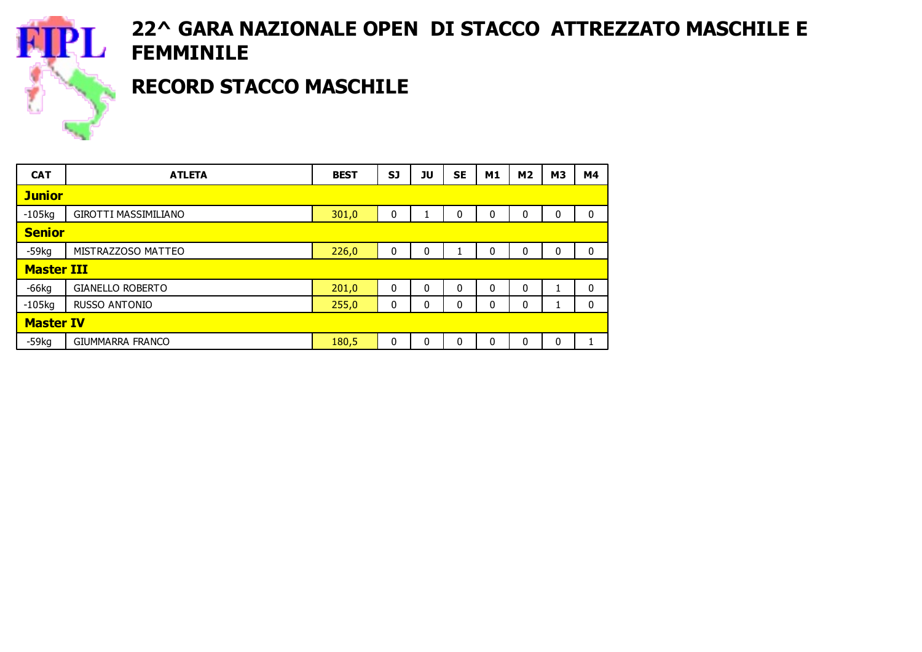

## RECORD STACCO MASCHILE

| <b>CAT</b>        | <b>ATLETA</b>               | <b>BEST</b> | SJ           | ่วบ | <b>SE</b> | M1 | M <sub>2</sub> | M <sub>3</sub> | M4                        |
|-------------------|-----------------------------|-------------|--------------|-----|-----------|----|----------------|----------------|---------------------------|
| <b>Junior</b>     |                             |             |              |     |           |    |                |                |                           |
| $-105kg$          | <b>GIROTTI MASSIMILIANO</b> | 301,0       | 0            |     | 0         | 0  | 0              | 0              | 0                         |
| <b>Senior</b>     |                             |             |              |     |           |    |                |                |                           |
| $-59kq$           | MISTRAZZOSO MATTEO          | 226,0       | 0            | 0   |           | 0  | 0              | 0              | 0                         |
| <b>Master III</b> |                             |             |              |     |           |    |                |                |                           |
| $-66$ kg          | <b>GIANELLO ROBERTO</b>     | 201,0       | 0            | 0   | 0         | 0  | 0              | 1<br>T.        | $\mathbf 0$               |
| $-105kg$          | <b>RUSSO ANTONIO</b>        | 255,0       | $\mathbf{0}$ | 0   | 0         | 0  | 0              | Ŧ,             | 0                         |
| <b>Master IV</b>  |                             |             |              |     |           |    |                |                |                           |
| $-59kg$           | <b>GIUMMARRA FRANCO</b>     | 180,5       | 0            | 0   | 0         | 0  | 0              | 0              | $\blacktriangleleft$<br>T |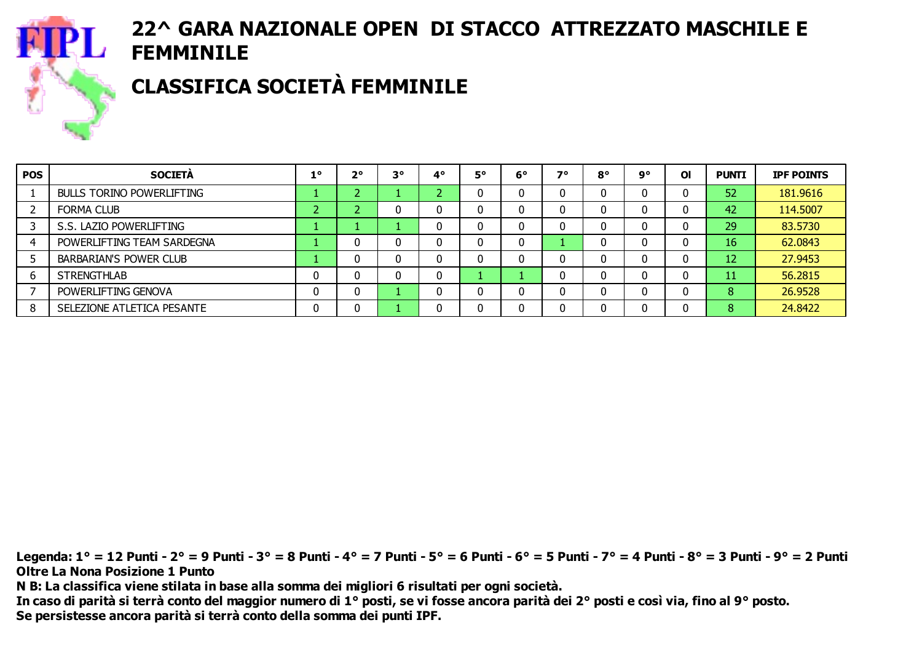

# CLASSIFICA SOCIETÀ FEMMINILE

| <b>POS</b> | <b>SOCIETA</b>                   | -10 | $2^{\circ}$ | $3^{\circ}$ | 40     | 5° | $6^{\circ}$ | 70 | $8^{\circ}$ | ٩° | O <sub>l</sub> | <b>PUNTI</b>    | <b>IPF POINTS</b> |
|------------|----------------------------------|-----|-------------|-------------|--------|----|-------------|----|-------------|----|----------------|-----------------|-------------------|
|            | <b>BULLS TORINO POWERLIFTING</b> |     |             |             | $\sim$ |    |             |    |             |    | 0              | 52              | 181.9616          |
|            | <b>FORMA CLUB</b>                |     |             |             | 0      |    | 0           |    |             | U  | 0              | 42              | 114.5007          |
|            | S.S. LAZIO POWERLIFTING          |     |             |             | 0      |    | U           | 0  |             | U  | 0              | 29              | 83.5730           |
|            | POWERLIFTING TEAM SARDEGNA       |     |             |             | 0      |    | 0           |    |             | U  | 0              | 16 <sup>°</sup> | 62.0843           |
|            | <b>BARBARIAN'S POWER CLUB</b>    |     |             |             | 0      |    |             |    |             |    | 0              | 12              | 27.9453           |
| 6          | <b>STRENGTHLAB</b>               |     |             |             | 0      |    |             |    |             |    | 0              | 11              | 56.2815           |
|            | POWERLIFTING GENOVA              |     | 0           |             | 0      |    |             |    |             | υ  | 0              | 8               | 26.9528           |
|            | SELEZIONE ATLETICA PESANTE       |     |             |             | 0      |    |             |    |             | U  | 0              | 8               | 24.8422           |

Legenda: 1° = 12 Punti - 2° = 9 Punti - 3° = 8 Punti - 4° = 7 Punti - 5° = 6 Punti - 6° = 5 Punti - 7° = 4 Punti - 8° = 3 Punti - 9° = 2 Punti Oltre La Nona Posizione 1 Punto N B: La classifica viene stilata in base alla somma dei migliori 6 risultati per ogni società. In caso di parità si terrà conto del maggior numero di 1° posti, se vi fosse ancora parità dei 2° posti e così via, fino al 9° posto.

Se persistesse ancora parità si terrà conto della somma dei punti IPF.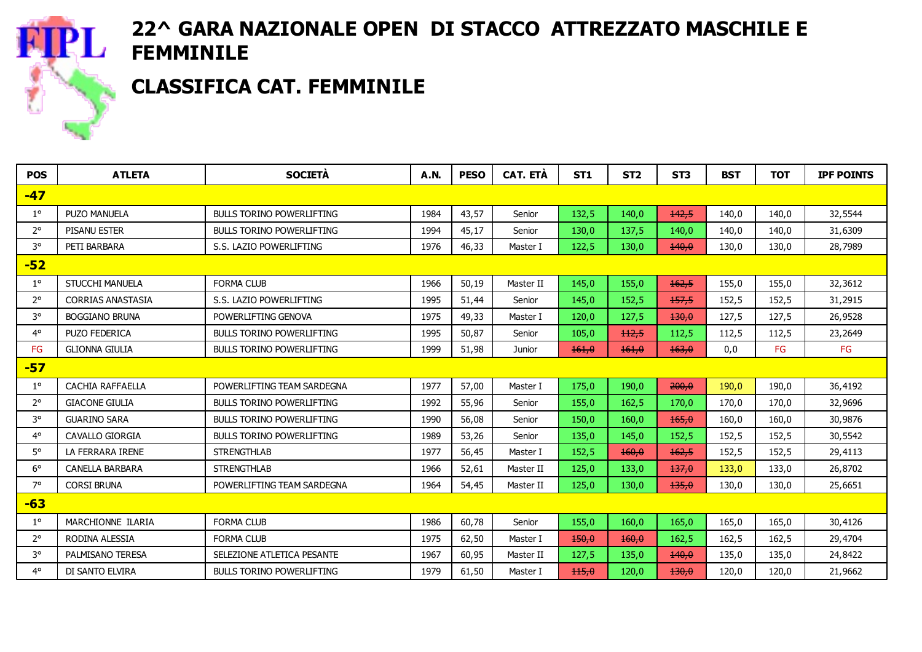

#### CLASSIFICA CAT. FEMMINILE

| <b>POS</b>  | <b>ATLETA</b>            | <b>SOCIETÀ</b>                   | <b>A.N.</b> | <b>PESO</b> | <b>CAT. ETÀ</b> | ST <sub>1</sub> | ST <sub>2</sub> | ST <sub>3</sub>  | <b>BST</b> | <b>TOT</b> | <b>IPF POINTS</b> |
|-------------|--------------------------|----------------------------------|-------------|-------------|-----------------|-----------------|-----------------|------------------|------------|------------|-------------------|
| $-47$       |                          |                                  |             |             |                 |                 |                 |                  |            |            |                   |
| $1^{\circ}$ | <b>PUZO MANUELA</b>      | <b>BULLS TORINO POWERLIFTING</b> | 1984        | 43,57       | Senior          | 132,5           | 140,0           | 142,5            | 140,0      | 140,0      | 32,5544           |
| $2^{\circ}$ | <b>PISANU ESTER</b>      | <b>BULLS TORINO POWERLIFTING</b> | 1994        | 45,17       | Senior          | 130,0           | 137,5           | 140,0            | 140,0      | 140,0      | 31,6309           |
| $3^{\circ}$ | PETI BARBARA             | S.S. LAZIO POWERLIFTING          | 1976        | 46,33       | Master I        | 122,5           | 130,0           | 140,0            | 130,0      | 130,0      | 28,7989           |
| $-52$       |                          |                                  |             |             |                 |                 |                 |                  |            |            |                   |
| $1^{\circ}$ | <b>STUCCHI MANUELA</b>   | <b>FORMA CLUB</b>                | 1966        | 50,19       | Master II       | 145,0           | 155,0           | 162,5            | 155,0      | 155,0      | 32,3612           |
| $2^{\circ}$ | <b>CORRIAS ANASTASIA</b> | S.S. LAZIO POWERLIFTING          | 1995        | 51,44       | Senior          | 145,0           | 152,5           | 157,5            | 152,5      | 152,5      | 31,2915           |
| 3°          | <b>BOGGIANO BRUNA</b>    | POWERLIFTING GENOVA              | 1975        | 49,33       | Master I        | 120,0           | 127,5           | 130,0            | 127,5      | 127,5      | 26,9528           |
| $4^{\circ}$ | <b>PUZO FEDERICA</b>     | <b>BULLS TORINO POWERLIFTING</b> | 1995        | 50,87       | Senior          | 105,0           | 112,5           | 112,5            | 112,5      | 112,5      | 23,2649           |
| FG          | <b>GLIONNA GIULIA</b>    | <b>BULLS TORINO POWERLIFTING</b> | 1999        | 51,98       | Junior          | 161,0           | 161.0           | 163.0            | 0,0        | FG         | FG                |
| $-57$       |                          |                                  |             |             |                 |                 |                 |                  |            |            |                   |
| $1^{\circ}$ | CACHIA RAFFAELLA         | POWERLIFTING TEAM SARDEGNA       | 1977        | 57,00       | Master I        | 175,0           | 190,0           | 200,0            | 190,0      | 190,0      | 36,4192           |
| $2^{\circ}$ | <b>GIACONE GIULIA</b>    | <b>BULLS TORINO POWERLIFTING</b> | 1992        | 55,96       | Senior          | 155,0           | 162,5           | 170,0            | 170,0      | 170,0      | 32,9696           |
| $3^{\circ}$ | <b>GUARINO SARA</b>      | <b>BULLS TORINO POWERLIFTING</b> | 1990        | 56,08       | Senior          | 150,0           | 160,0           | 165,0            | 160,0      | 160,0      | 30,9876           |
| $4^{\circ}$ | <b>CAVALLO GIORGIA</b>   | <b>BULLS TORINO POWERLIFTING</b> | 1989        | 53,26       | Senior          | 135,0           | 145,0           | 152,5            | 152,5      | 152,5      | 30,5542           |
| $5^\circ$   | LA FERRARA IRENE         | <b>STRENGTHLAB</b>               | 1977        | 56,45       | Master I        | 152,5           | 160,0           | 162,5            | 152,5      | 152,5      | 29,4113           |
| $6^{\circ}$ | <b>CANELLA BARBARA</b>   | <b>STRENGTHLAB</b>               | 1966        | 52,61       | Master II       | 125,0           | 133,0           | 137,0            | 133,0      | 133,0      | 26,8702           |
| $7^\circ$   | <b>CORSI BRUNA</b>       | POWERLIFTING TEAM SARDEGNA       | 1964        | 54,45       | Master II       | 125,0           | 130,0           | 135,0            | 130,0      | 130,0      | 25,6651           |
| $-63$       |                          |                                  |             |             |                 |                 |                 |                  |            |            |                   |
| $1^{\circ}$ | MARCHIONNE ILARIA        | <b>FORMA CLUB</b>                | 1986        | 60,78       | Senior          | 155,0           | 160,0           | 165,0            | 165,0      | 165,0      | 30,4126           |
| $2^{\circ}$ | RODINA ALESSIA           | <b>FORMA CLUB</b>                | 1975        | 62,50       | Master I        | 150,0           | 160,0           | 162,5            | 162,5      | 162,5      | 29,4704           |
| $3^{\circ}$ | PALMISANO TERESA         | SELEZIONE ATLETICA PESANTE       | 1967        | 60,95       | Master II       | 127,5           | 135,0           | 140,0            | 135,0      | 135,0      | 24,8422           |
| $4^\circ$   | DI SANTO ELVIRA          | <b>BULLS TORINO POWERLIFTING</b> | 1979        | 61.50       | Master I        | 115,0           | 120,0           | <del>130.0</del> | 120,0      | 120.0      | 21,9662           |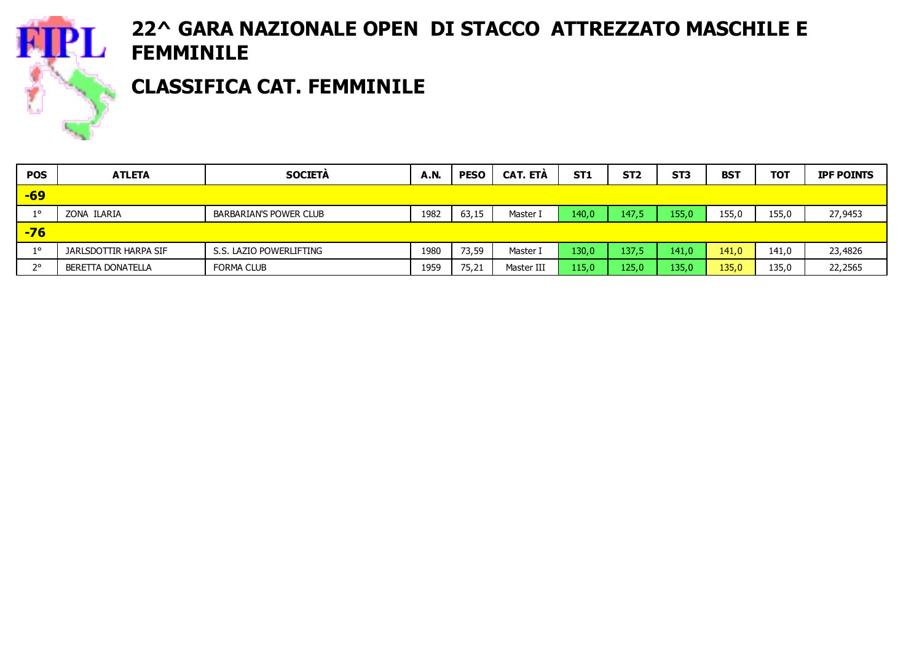

### CLASSIFICA CAT. FEMMINILE

| <b>POS</b>  | <b>ATLETA</b>         | <b>SOCIETA</b>                | <b>A.N.</b> | <b>PESO</b> | <b>CAT. ETA</b> | ST <sub>1</sub> | ST <sub>2</sub> | ST <sub>3</sub> | <b>BST</b> | <b>TOT</b> | <b>IPF POINTS</b> |
|-------------|-----------------------|-------------------------------|-------------|-------------|-----------------|-----------------|-----------------|-----------------|------------|------------|-------------------|
| $-69$       |                       |                               |             |             |                 |                 |                 |                 |            |            |                   |
| $1^{\circ}$ | ZONA ILARIA           | <b>BARBARIAN'S POWER CLUB</b> | 1982        | 63,15       | Master I        | 140,0           | 147,5           | 155,0.          | 155,0      | 155,0      | 27,9453           |
| $-76$       |                       |                               |             |             |                 |                 |                 |                 |            |            |                   |
| $1^{\circ}$ | JARLSDOTTIR HARPA SIF | S.S. LAZIO POWERLIFTING       | 1980        | 73,59       | Master I        | 130,0           | 137,5           | 141,0           | 141,0      | 141,0      | 23,4826           |
| າ           | BERETTA DONATELLA     | <b>FORMA CLUB</b>             | 1959        | 75,21       | Master III      | 115,0           | 125,0           | 135,0           | 135,0      | 135,0      | 22,2565           |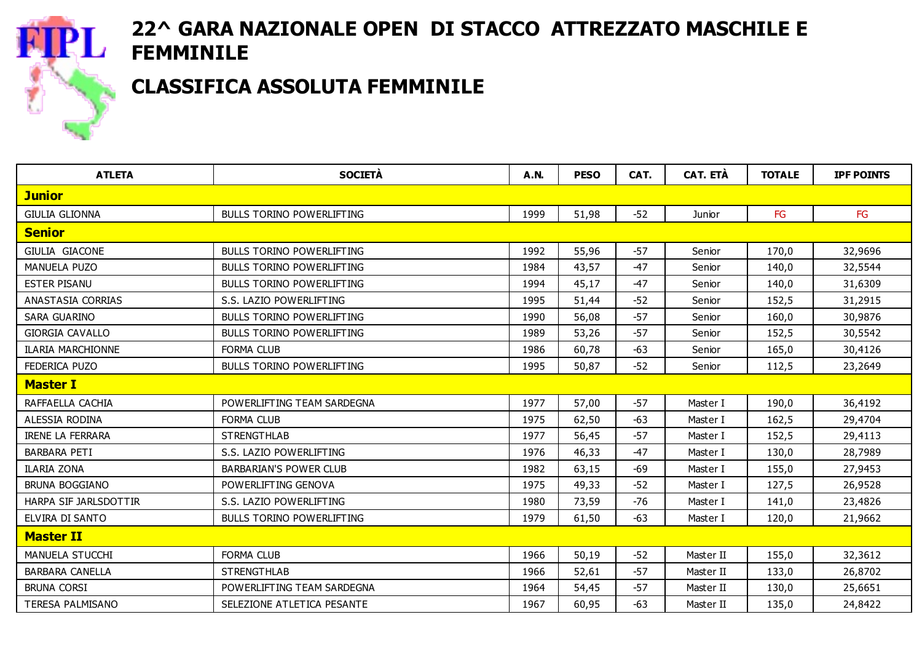

### CLASSIFICA ASSOLUTA FEMMINILE

| <b>ATLETA</b>            | <b>SOCIETÀ</b>                   | <b>A.N.</b> | <b>PESO</b> | CAT.  | <b>CAT. ETÀ</b> | <b>TOTALE</b> | <b>IPF POINTS</b> |
|--------------------------|----------------------------------|-------------|-------------|-------|-----------------|---------------|-------------------|
| <b>Junior</b>            |                                  |             |             |       |                 |               |                   |
| <b>GIULIA GLIONNA</b>    | <b>BULLS TORINO POWERLIFTING</b> | 1999        | 51,98       | $-52$ | Junior          | <b>FG</b>     | <b>FG</b>         |
| <b>Senior</b>            |                                  |             |             |       |                 |               |                   |
| <b>GIULIA GIACONE</b>    | <b>BULLS TORINO POWERLIFTING</b> | 1992        | 55,96       | $-57$ | Senior          | 170,0         | 32,9696           |
| <b>MANUELA PUZO</b>      | <b>BULLS TORINO POWERLIFTING</b> | 1984        | 43,57       | $-47$ | Senior          | 140,0         | 32,5544           |
| <b>ESTER PISANU</b>      | <b>BULLS TORINO POWERLIFTING</b> | 1994        | 45,17       | $-47$ | Senior          | 140,0         | 31,6309           |
| ANASTASIA CORRIAS        | S.S. LAZIO POWERLIFTING          | 1995        | 51,44       | $-52$ | Senior          | 152,5         | 31,2915           |
| <b>SARA GUARINO</b>      | <b>BULLS TORINO POWERLIFTING</b> | 1990        | 56,08       | $-57$ | Senior          | 160,0         | 30,9876           |
| <b>GIORGIA CAVALLO</b>   | <b>BULLS TORINO POWERLIFTING</b> | 1989        | 53,26       | $-57$ | Senior          | 152,5         | 30,5542           |
| <b>ILARIA MARCHIONNE</b> | <b>FORMA CLUB</b>                | 1986        | 60,78       | $-63$ | Senior          | 165,0         | 30,4126           |
| FEDERICA PUZO            | <b>BULLS TORINO POWERLIFTING</b> | 1995        | 50,87       | $-52$ | Senior          | 112,5         | 23,2649           |
| <b>Master I</b>          |                                  |             |             |       |                 |               |                   |
| RAFFAELLA CACHIA         | POWERLIFTING TEAM SARDEGNA       | 1977        | 57,00       | $-57$ | Master I        | 190,0         | 36,4192           |
| ALESSIA RODINA           | <b>FORMA CLUB</b>                | 1975        | 62,50       | -63   | Master I        | 162,5         | 29,4704           |
| <b>IRENE LA FERRARA</b>  | <b>STRENGTHLAB</b>               | 1977        | 56,45       | -57   | Master I        | 152,5         | 29,4113           |
| <b>BARBARA PETI</b>      | S.S. LAZIO POWERLIFTING          | 1976        | 46,33       | $-47$ | Master I        | 130,0         | 28,7989           |
| ILARIA ZONA              | <b>BARBARIAN'S POWER CLUB</b>    | 1982        | 63,15       | -69   | Master I        | 155,0         | 27,9453           |
| <b>BRUNA BOGGIANO</b>    | POWERLIFTING GENOVA              | 1975        | 49,33       | $-52$ | Master I        | 127,5         | 26,9528           |
| HARPA SIF JARLSDOTTIR    | S.S. LAZIO POWERLIFTING          | 1980        | 73,59       | -76   | Master I        | 141,0         | 23,4826           |
| ELVIRA DI SANTO          | <b>BULLS TORINO POWERLIFTING</b> | 1979        | 61,50       | $-63$ | Master I        | 120,0         | 21,9662           |
| <b>Master II</b>         |                                  |             |             |       |                 |               |                   |
| MANUELA STUCCHI          | <b>FORMA CLUB</b>                | 1966        | 50,19       | $-52$ | Master II       | 155,0         | 32,3612           |
| <b>BARBARA CANELLA</b>   | <b>STRENGTHLAB</b>               | 1966        | 52,61       | $-57$ | Master II       | 133,0         | 26,8702           |
| <b>BRUNA CORSI</b>       | POWERLIFTING TEAM SARDEGNA       | 1964        | 54,45       | $-57$ | Master II       | 130,0         | 25,6651           |
| TERESA PALMISANO         | SELEZIONE ATLETICA PESANTE       | 1967        | 60,95       | $-63$ | Master II       | 135,0         | 24,8422           |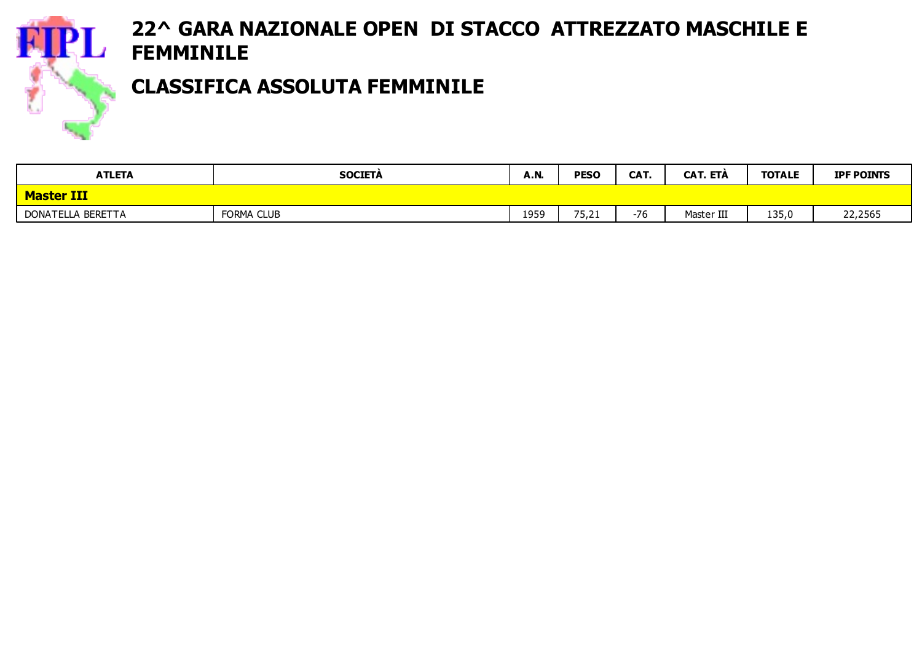

#### CLASSIFICA ASSOLUTA FEMMINILE

| <b>ATLETA</b>     | <b>SOCIETA</b> |      | <b>PESO</b><br><b>A.N.</b> |       | <b>CAT. ETA</b><br><b>TOTALE</b> |       | <b>IPF POINTS</b> |  |
|-------------------|----------------|------|----------------------------|-------|----------------------------------|-------|-------------------|--|
| <b>Master III</b> |                |      |                            |       |                                  |       |                   |  |
| DONATELLA BERETTA | FORMA CLUB     | 1959 | 75,21                      | $-76$ | Master III                       | 135,0 | 22,2565           |  |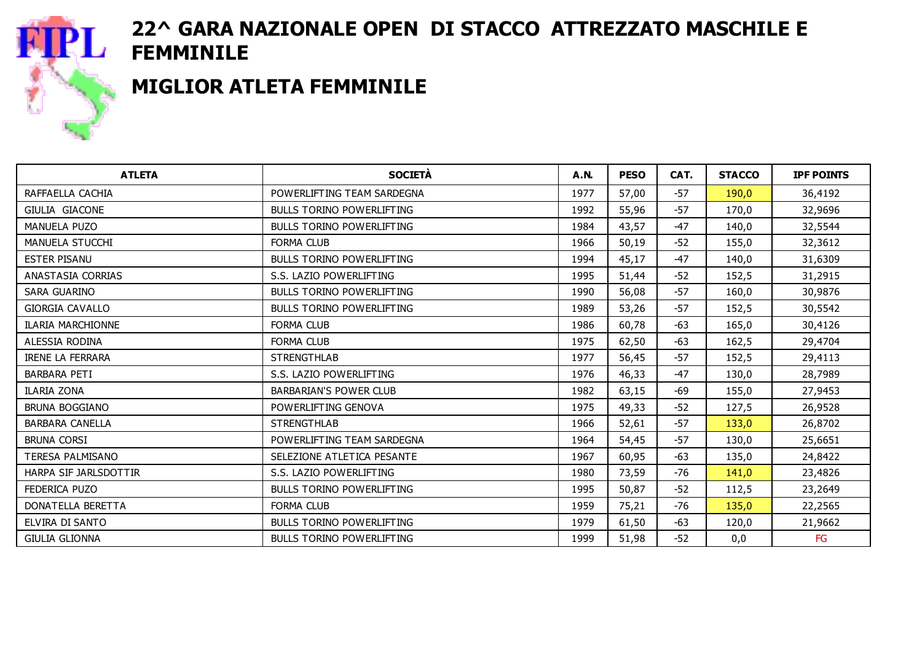

#### MIGLIOR ATLETA FEMMINILE

| <b>ATLETA</b>            | <b>SOCIETÀ</b>                   | <b>A.N.</b> | <b>PESO</b> | CAT.  | <b>STACCO</b> | <b>IPF POINTS</b> |
|--------------------------|----------------------------------|-------------|-------------|-------|---------------|-------------------|
| RAFFAELLA CACHIA         | POWERLIFTING TEAM SARDEGNA       | 1977        | 57,00       | $-57$ | 190,0         | 36,4192           |
| <b>GIULIA GIACONE</b>    | <b>BULLS TORINO POWERLIFTING</b> | 1992        | 55,96       | $-57$ | 170,0         | 32,9696           |
| MANUELA PUZO             | <b>BULLS TORINO POWERLIFTING</b> | 1984        | 43,57       | $-47$ | 140,0         | 32,5544           |
| MANUELA STUCCHI          | <b>FORMA CLUB</b>                | 1966        | 50,19       | $-52$ | 155,0         | 32,3612           |
| <b>ESTER PISANU</b>      | BULLS TORINO POWERLIFTING        | 1994        | 45,17       | $-47$ | 140,0         | 31,6309           |
| ANASTASIA CORRIAS        | S.S. LAZIO POWERLIFTING          | 1995        | 51,44       | $-52$ | 152,5         | 31,2915           |
| <b>SARA GUARINO</b>      | <b>BULLS TORINO POWERLIFTING</b> | 1990        | 56,08       | $-57$ | 160,0         | 30,9876           |
| <b>GIORGIA CAVALLO</b>   | <b>BULLS TORINO POWERLIFTING</b> | 1989        | 53,26       | $-57$ | 152,5         | 30,5542           |
| <b>ILARIA MARCHIONNE</b> | <b>FORMA CLUB</b>                | 1986        | 60,78       | $-63$ | 165,0         | 30,4126           |
| ALESSIA RODINA           | <b>FORMA CLUB</b>                | 1975        | 62,50       | $-63$ | 162,5         | 29,4704           |
| <b>IRENE LA FERRARA</b>  | <b>STRENGTHLAB</b>               | 1977        | 56,45       | $-57$ | 152,5         | 29,4113           |
| <b>BARBARA PETI</b>      | S.S. LAZIO POWERLIFTING          | 1976        | 46,33       | $-47$ | 130,0         | 28,7989           |
| <b>ILARIA ZONA</b>       | <b>BARBARIAN'S POWER CLUB</b>    | 1982        | 63,15       | -69   | 155,0         | 27,9453           |
| <b>BRUNA BOGGIANO</b>    | POWERLIFTING GENOVA              | 1975        | 49,33       | $-52$ | 127,5         | 26,9528           |
| <b>BARBARA CANELLA</b>   | <b>STRENGTHLAB</b>               | 1966        | 52,61       | $-57$ | 133,0         | 26,8702           |
| BRUNA CORSI              | POWERLIFTING TEAM SARDEGNA       | 1964        | 54,45       | $-57$ | 130,0         | 25,6651           |
| <b>TERESA PALMISANO</b>  | SELEZIONE ATLETICA PESANTE       | 1967        | 60,95       | $-63$ | 135,0         | 24,8422           |
| HARPA SIF JARLSDOTTIR    | S.S. LAZIO POWERLIFTING          | 1980        | 73,59       | -76   | 141,0         | 23,4826           |
| FEDERICA PUZO            | <b>BULLS TORINO POWERLIFTING</b> | 1995        | 50,87       | $-52$ | 112,5         | 23,2649           |
| DONATELLA BERETTA        | <b>FORMA CLUB</b>                | 1959        | 75,21       | -76   | 135,0         | 22,2565           |
| ELVIRA DI SANTO          | <b>BULLS TORINO POWERLIFTING</b> | 1979        | 61,50       | $-63$ | 120,0         | 21,9662           |
| <b>GIULIA GLIONNA</b>    | <b>BULLS TORINO POWERLIFTING</b> | 1999        | 51,98       | $-52$ | 0,0           | FG                |